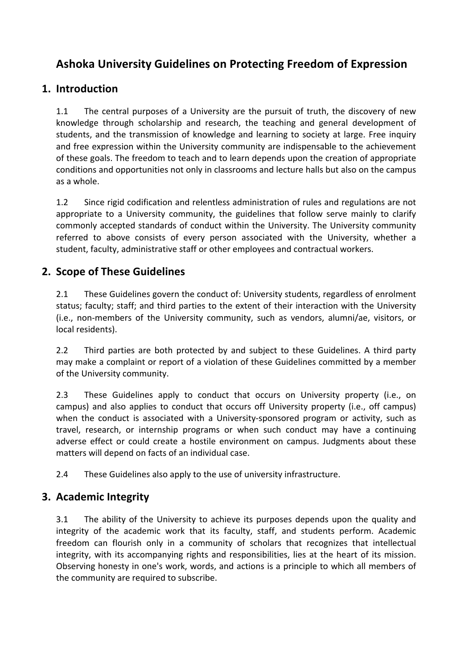# **Ashoka University Guidelines on Protecting Freedom of Expression**

# **1. Introduction**

1.1 The central purposes of a University are the pursuit of truth, the discovery of new knowledge through scholarship and research, the teaching and general development of students, and the transmission of knowledge and learning to society at large. Free inquiry and free expression within the University community are indispensable to the achievement of these goals. The freedom to teach and to learn depends upon the creation of appropriate conditions and opportunities not only in classrooms and lecture halls but also on the campus as a whole. 

1.2 Since rigid codification and relentless administration of rules and regulations are not appropriate to a University community, the guidelines that follow serve mainly to clarify commonly accepted standards of conduct within the University. The University community referred to above consists of every person associated with the University, whether a student, faculty, administrative staff or other employees and contractual workers.

# **2. Scope of These Guidelines**

2.1 These Guidelines govern the conduct of: University students, regardless of enrolment status; faculty; staff; and third parties to the extent of their interaction with the University (i.e., non-members of the University community, such as vendors, alumni/ae, visitors, or local residents).

2.2 Third parties are both protected by and subject to these Guidelines. A third party may make a complaint or report of a violation of these Guidelines committed by a member of the University community.

2.3 These Guidelines apply to conduct that occurs on University property (i.e., on campus) and also applies to conduct that occurs off University property (i.e., off campus) when the conduct is associated with a University-sponsored program or activity, such as travel, research, or internship programs or when such conduct may have a continuing adverse effect or could create a hostile environment on campus. Judgments about these matters will depend on facts of an individual case.

2.4 These Guidelines also apply to the use of university infrastructure.

#### **3. Academic Integrity**

3.1 The ability of the University to achieve its purposes depends upon the quality and integrity of the academic work that its faculty, staff, and students perform. Academic freedom can flourish only in a community of scholars that recognizes that intellectual integrity, with its accompanying rights and responsibilities, lies at the heart of its mission. Observing honesty in one's work, words, and actions is a principle to which all members of the community are required to subscribe.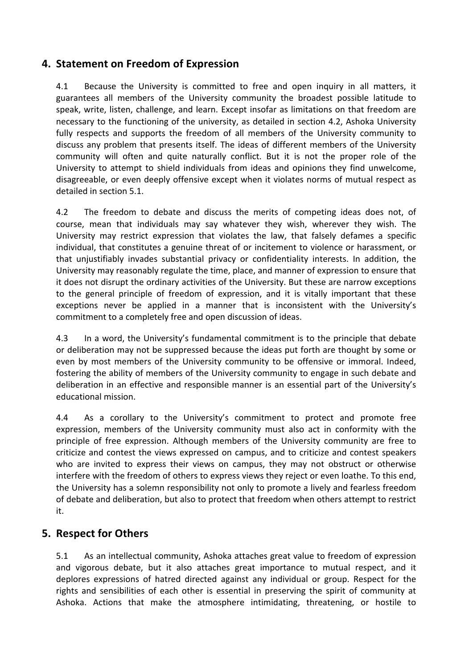### **4. Statement on Freedom of Expression**

4.1 Because the University is committed to free and open inquiry in all matters, it guarantees all members of the University community the broadest possible latitude to speak, write, listen, challenge, and learn. Except insofar as limitations on that freedom are necessary to the functioning of the university, as detailed in section 4.2, Ashoka University fully respects and supports the freedom of all members of the University community to discuss any problem that presents itself. The ideas of different members of the University community will often and quite naturally conflict. But it is not the proper role of the University to attempt to shield individuals from ideas and opinions they find unwelcome, disagreeable, or even deeply offensive except when it violates norms of mutual respect as detailed in section 5.1.

4.2 The freedom to debate and discuss the merits of competing ideas does not, of course, mean that individuals may say whatever they wish, wherever they wish. The University may restrict expression that violates the law, that falsely defames a specific individual, that constitutes a genuine threat of or incitement to violence or harassment, or that unjustifiably invades substantial privacy or confidentiality interests. In addition, the University may reasonably regulate the time, place, and manner of expression to ensure that it does not disrupt the ordinary activities of the University. But these are narrow exceptions to the general principle of freedom of expression, and it is vitally important that these exceptions never be applied in a manner that is inconsistent with the University's commitment to a completely free and open discussion of ideas.

4.3 In a word, the University's fundamental commitment is to the principle that debate or deliberation may not be suppressed because the ideas put forth are thought by some or even by most members of the University community to be offensive or immoral. Indeed, fostering the ability of members of the University community to engage in such debate and deliberation in an effective and responsible manner is an essential part of the University's educational mission.

4.4 As a corollary to the University's commitment to protect and promote free expression, members of the University community must also act in conformity with the principle of free expression. Although members of the University community are free to criticize and contest the views expressed on campus, and to criticize and contest speakers who are invited to express their views on campus, they may not obstruct or otherwise interfere with the freedom of others to express views they reject or even loathe. To this end, the University has a solemn responsibility not only to promote a lively and fearless freedom of debate and deliberation, but also to protect that freedom when others attempt to restrict it.

#### **5. Respect for Others**

5.1 As an intellectual community, Ashoka attaches great value to freedom of expression and vigorous debate, but it also attaches great importance to mutual respect, and it deplores expressions of hatred directed against any individual or group. Respect for the rights and sensibilities of each other is essential in preserving the spirit of community at Ashoka. Actions that make the atmosphere intimidating, threatening, or hostile to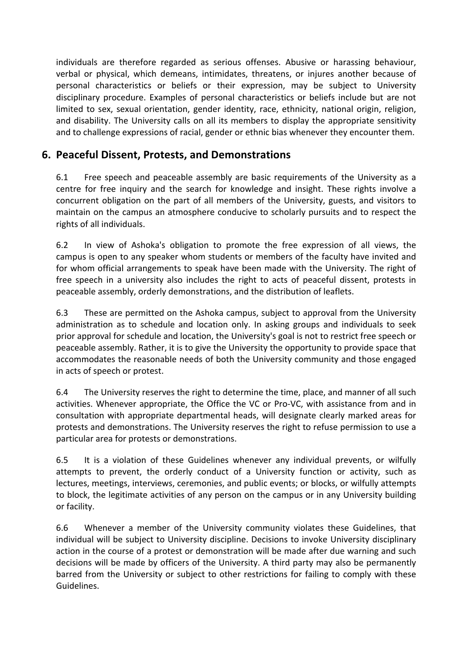individuals are therefore regarded as serious offenses. Abusive or harassing behaviour, verbal or physical, which demeans, intimidates, threatens, or injures another because of personal characteristics or beliefs or their expression, may be subject to University disciplinary procedure. Examples of personal characteristics or beliefs include but are not limited to sex, sexual orientation, gender identity, race, ethnicity, national origin, religion, and disability. The University calls on all its members to display the appropriate sensitivity and to challenge expressions of racial, gender or ethnic bias whenever they encounter them.

# **6. Peaceful Dissent, Protests, and Demonstrations**

6.1 Free speech and peaceable assembly are basic requirements of the University as a centre for free inquiry and the search for knowledge and insight. These rights involve a concurrent obligation on the part of all members of the University, guests, and visitors to maintain on the campus an atmosphere conducive to scholarly pursuits and to respect the rights of all individuals.

6.2 In view of Ashoka's obligation to promote the free expression of all views, the campus is open to any speaker whom students or members of the faculty have invited and for whom official arrangements to speak have been made with the University. The right of free speech in a university also includes the right to acts of peaceful dissent, protests in peaceable assembly, orderly demonstrations, and the distribution of leaflets.

6.3 These are permitted on the Ashoka campus, subject to approval from the University administration as to schedule and location only. In asking groups and individuals to seek prior approval for schedule and location, the University's goal is not to restrict free speech or peaceable assembly. Rather, it is to give the University the opportunity to provide space that accommodates the reasonable needs of both the University community and those engaged in acts of speech or protest.

6.4 The University reserves the right to determine the time, place, and manner of all such activities. Whenever appropriate, the Office the VC or Pro-VC, with assistance from and in consultation with appropriate departmental heads, will designate clearly marked areas for protests and demonstrations. The University reserves the right to refuse permission to use a particular area for protests or demonstrations.

6.5 It is a violation of these Guidelines whenever any individual prevents, or wilfully attempts to prevent, the orderly conduct of a University function or activity, such as lectures, meetings, interviews, ceremonies, and public events; or blocks, or wilfully attempts to block, the legitimate activities of any person on the campus or in any University building or facility.

6.6 Whenever a member of the University community violates these Guidelines, that individual will be subject to University discipline. Decisions to invoke University disciplinary action in the course of a protest or demonstration will be made after due warning and such decisions will be made by officers of the University. A third party may also be permanently barred from the University or subject to other restrictions for failing to comply with these Guidelines.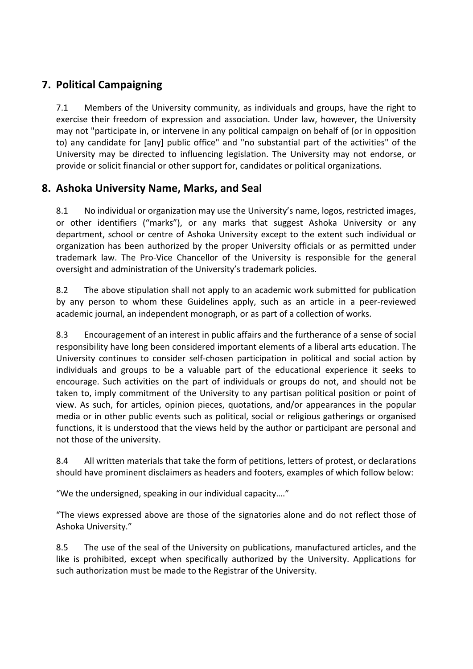# **7. Political Campaigning**

7.1 Members of the University community, as individuals and groups, have the right to exercise their freedom of expression and association. Under law, however, the University may not "participate in, or intervene in any political campaign on behalf of (or in opposition to) any candidate for [any] public office" and "no substantial part of the activities" of the University may be directed to influencing legislation. The University may not endorse, or provide or solicit financial or other support for, candidates or political organizations.

# **8. Ashoka University Name, Marks, and Seal**

8.1 No individual or organization may use the University's name, logos, restricted images, or other identifiers ("marks"), or any marks that suggest Ashoka University or any department, school or centre of Ashoka University except to the extent such individual or organization has been authorized by the proper University officials or as permitted under trademark law. The Pro-Vice Chancellor of the University is responsible for the general oversight and administration of the University's trademark policies.

8.2 The above stipulation shall not apply to an academic work submitted for publication by any person to whom these Guidelines apply, such as an article in a peer-reviewed academic journal, an independent monograph, or as part of a collection of works.

8.3 Encouragement of an interest in public affairs and the furtherance of a sense of social responsibility have long been considered important elements of a liberal arts education. The University continues to consider self-chosen participation in political and social action by individuals and groups to be a valuable part of the educational experience it seeks to encourage. Such activities on the part of individuals or groups do not, and should not be taken to, imply commitment of the University to any partisan political position or point of view. As such, for articles, opinion pieces, quotations, and/or appearances in the popular media or in other public events such as political, social or religious gatherings or organised functions, it is understood that the views held by the author or participant are personal and not those of the university.

8.4 All written materials that take the form of petitions, letters of protest, or declarations should have prominent disclaimers as headers and footers, examples of which follow below:

"We the undersigned, speaking in our individual capacity...."

"The views expressed above are those of the signatories alone and do not reflect those of Ashoka University."

8.5 The use of the seal of the University on publications, manufactured articles, and the like is prohibited, except when specifically authorized by the University. Applications for such authorization must be made to the Registrar of the University.